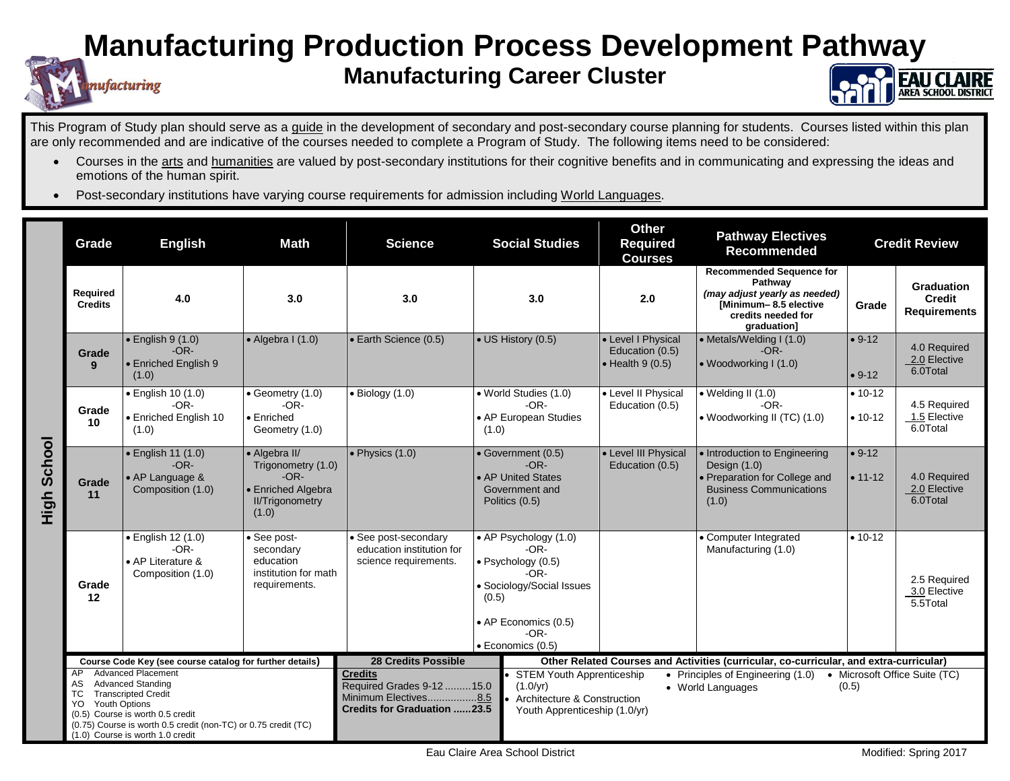## **Manufacturing Production Process Development Pathway**

## **Manufacturing Career Cluster**



This Program of Study plan should serve as a guide in the development of secondary and post-secondary course planning for students. Courses listed within this plan are only recommended and are indicative of the courses needed to complete a Program of Study. The following items need to be considered:

- Courses in the arts and humanities are valued by post-secondary institutions for their cognitive benefits and in communicating and expressing the ideas and emotions of the human spirit.
- Post-secondary institutions have varying course requirements for admission including World Languages.

nufacturing

|                | Grade                                                                                                                                                                                                                                                                                                                                     | <b>English</b>                                                         | <b>Math</b>                                                                                                                                                | <b>Science</b>                                                                                                                                       | <b>Social Studies</b>                                                                                                                                              |                                                                                                                                                                                                                                                                                                           | <b>Other</b><br><b>Required</b><br><b>Courses</b>                 | <b>Pathway Electives</b><br><b>Recommended</b>                                                                                            |                         | <b>Credit Review</b>                               |
|----------------|-------------------------------------------------------------------------------------------------------------------------------------------------------------------------------------------------------------------------------------------------------------------------------------------------------------------------------------------|------------------------------------------------------------------------|------------------------------------------------------------------------------------------------------------------------------------------------------------|------------------------------------------------------------------------------------------------------------------------------------------------------|--------------------------------------------------------------------------------------------------------------------------------------------------------------------|-----------------------------------------------------------------------------------------------------------------------------------------------------------------------------------------------------------------------------------------------------------------------------------------------------------|-------------------------------------------------------------------|-------------------------------------------------------------------------------------------------------------------------------------------|-------------------------|----------------------------------------------------|
| School<br>High | Required<br><b>Credits</b>                                                                                                                                                                                                                                                                                                                | 4.0                                                                    | 3.0                                                                                                                                                        | 3.0                                                                                                                                                  | 3.0                                                                                                                                                                |                                                                                                                                                                                                                                                                                                           | 2.0                                                               | <b>Recommended Sequence for</b><br>Pathway<br>(may adjust yearly as needed)<br>[Minimum-8.5 elective<br>credits needed for<br>graduation] | Grade                   | Graduation<br><b>Credit</b><br><b>Requirements</b> |
|                | Grade<br>9                                                                                                                                                                                                                                                                                                                                | $\bullet$ English 9 (1.0)<br>$-OR-$<br>• Enriched English 9<br>(1.0)   | $\bullet$ Algebra I (1.0)                                                                                                                                  | • Earth Science (0.5)                                                                                                                                | • US History (0.5)                                                                                                                                                 |                                                                                                                                                                                                                                                                                                           | • Level I Physical<br>Education (0.5)<br>$\bullet$ Health 9 (0.5) | • Metals/Welding I (1.0)<br>$-OR-$<br>• Woodworking $(1.0)$                                                                               | $• 9-12$<br>$• 9-12$    | 4.0 Required<br>2.0 Elective<br>6.0Total           |
|                | Grade<br>10                                                                                                                                                                                                                                                                                                                               | · English 10 (1.0)<br>$-OR-$<br>• Enriched English 10<br>(1.0)         | $\bullet$ Geometry (1.0)<br>$-OR-$<br>• Enriched<br>Geometry (1.0)                                                                                         | $\bullet$ Biology (1.0)                                                                                                                              | • World Studies (1.0)<br>$-OR-$<br>• AP European Studies<br>(1.0)                                                                                                  |                                                                                                                                                                                                                                                                                                           | • Level II Physical<br>Education (0.5)                            | $\bullet$ Welding II (1.0)<br>$-OR-$<br>• Woodworking II (TC) (1.0)                                                                       | $• 10-12$<br>$• 10-12$  | 4.5 Required<br>1.5 Elective<br>6.0Total           |
|                | Grade<br>11                                                                                                                                                                                                                                                                                                                               | · English 11 (1.0)<br>$-OR-$<br>• AP Language &<br>Composition (1.0)   | • Algebra II/<br>Trigonometry (1.0)<br>$-OR-$<br>• Enriched Algebra<br><b>II/Trigonometry</b><br>(1.0)                                                     | $\bullet$ Physics (1.0)                                                                                                                              | • Government (0.5)<br>$-OR-$<br>• AP United States<br>Government and<br>Politics (0.5)                                                                             |                                                                                                                                                                                                                                                                                                           | • Level III Physical<br>Education (0.5)                           | • Introduction to Engineering<br>Design $(1.0)$<br>• Preparation for College and<br><b>Business Communications</b><br>(1.0)               | $• 9-12$<br>$• 11 - 12$ | 4.0 Required<br>2.0 Elective<br>6.0Total           |
|                | Grade<br>12                                                                                                                                                                                                                                                                                                                               | • English 12 (1.0)<br>$-OR-$<br>• AP Literature &<br>Composition (1.0) | See post-<br>• See post-secondary<br>education institution for<br>secondary<br>education<br>science requirements.<br>institution for math<br>requirements. |                                                                                                                                                      | • AP Psychology (1.0)<br>$-OR-$<br>· Psychology (0.5)<br>-OR-<br>• Sociology/Social Issues<br>(0.5)<br>• AP Economics (0.5)<br>$-OR-$<br>$\bullet$ Economics (0.5) |                                                                                                                                                                                                                                                                                                           |                                                                   | • Computer Integrated<br>Manufacturing (1.0)                                                                                              | $• 10 - 12$             | 2.5 Required<br>3.0 Elective<br>5.5Total           |
|                | Course Code Key (see course catalog for further details)<br><b>Advanced Placement</b><br>AP<br><b>Advanced Standing</b><br>AS<br><b>Transcripted Credit</b><br>ТC<br><b>Youth Options</b><br>YO<br>(0.5) Course is worth 0.5 credit<br>(0.75) Course is worth 0.5 credit (non-TC) or 0.75 credit (TC)<br>(1.0) Course is worth 1.0 credit |                                                                        |                                                                                                                                                            | <b>28 Credits Possible</b><br><b>Credits</b><br>Required Grades 9-12  15.0<br>(1.0/yr)<br>Minimum Electives8.5<br><b>Credits for Graduation 23.5</b> |                                                                                                                                                                    | Other Related Courses and Activities (curricular, co-curricular, and extra-curricular)<br><b>STEM Youth Apprenticeship</b><br>Principles of Engineering (1.0)<br>• Microsoft Office Suite (TC)<br>$\bullet$<br>(0.5)<br>• World Languages<br>Architecture & Construction<br>Youth Apprenticeship (1.0/yr) |                                                                   |                                                                                                                                           |                         |                                                    |